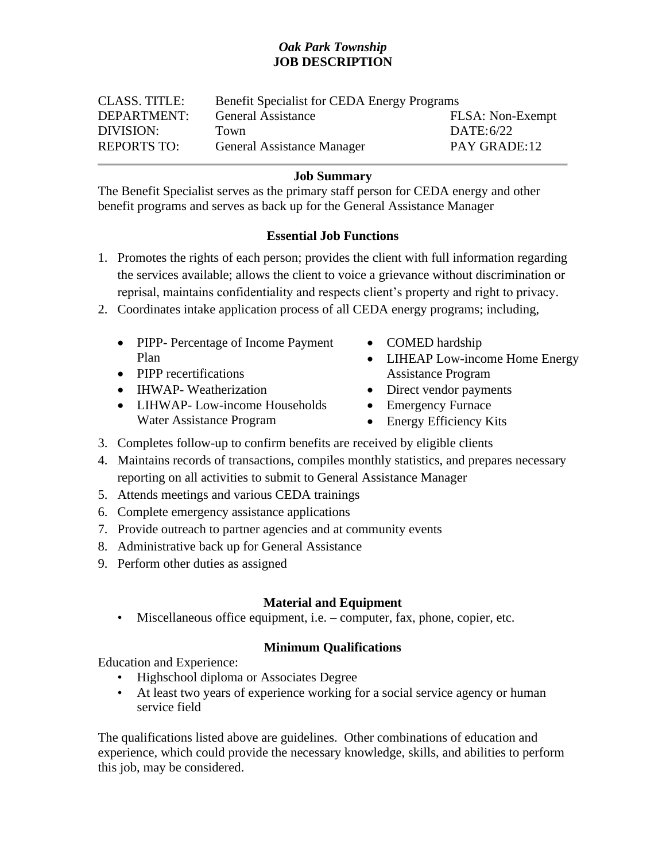# *Oak Park Township* **JOB DESCRIPTION**

| <b>CLASS. TITLE:</b> | <b>Benefit Specialist for CEDA Energy Programs</b> |                  |
|----------------------|----------------------------------------------------|------------------|
| DEPARTMENT:          | <b>General Assistance</b>                          | FLSA: Non-Exempt |
| DIVISION:            | Town                                               | DATE: $6/22$     |
| <b>REPORTS TO:</b>   | <b>General Assistance Manager</b>                  | PAY GRADE:12     |

#### **Job Summary**

The Benefit Specialist serves as the primary staff person for CEDA energy and other benefit programs and serves as back up for the General Assistance Manager

## **Essential Job Functions**

- 1. Promotes the rights of each person; provides the client with full information regarding the services available; allows the client to voice a grievance without discrimination or reprisal, maintains confidentiality and respects client's property and right to privacy.
- 2. Coordinates intake application process of all CEDA energy programs; including,
	- PIPP- Percentage of Income Payment Plan
	- PIPP recertifications
	- IHWAP- Weatherization
	- LIHWAP- Low-income Households Water Assistance Program
- COMED hardship
- LIHEAP Low-income Home Energy Assistance Program
- Direct vendor payments
- Emergency Furnace
- Energy Efficiency Kits
- 3. Completes follow-up to confirm benefits are received by eligible clients
- 4. Maintains records of transactions, compiles monthly statistics, and prepares necessary reporting on all activities to submit to General Assistance Manager
- 5. Attends meetings and various CEDA trainings
- 6. Complete emergency assistance applications
- 7. Provide outreach to partner agencies and at community events
- 8. Administrative back up for General Assistance
- 9. Perform other duties as assigned

## **Material and Equipment**

• Miscellaneous office equipment, i.e. – computer, fax, phone, copier, etc.

#### **Minimum Qualifications**

Education and Experience:

- Highschool diploma or Associates Degree
- At least two years of experience working for a social service agency or human service field

The qualifications listed above are guidelines. Other combinations of education and experience, which could provide the necessary knowledge, skills, and abilities to perform this job, may be considered.